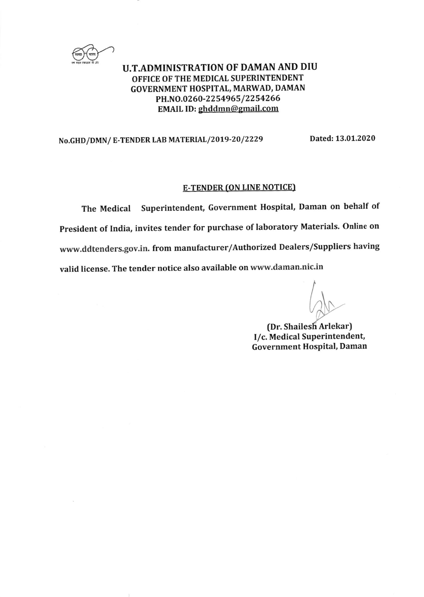

### U.T.ADMINISTRATION OF DAMAN AND DIU OFFICE OF THE MEDICAL SUPERINTENDENT GOVERNMENT HOSPITAL, MARWAD, DAMAN PH.NO.0260-2254965/2254266 EMAIL ID: ghddmn@gmail.com

### No.GHD/DMN/ E-TENDER LAB MATERIAL/2019-20/2229 Dated: 13.01.2020

#### **E-TENDER (ON LINE NOTICE)**

The Medical Superintendent, Government Hospital, Daman on behalf of President of India, invites tender for purchase of laboratory Materials. online on www.ddtenders.gov.in. from manufacturer/Authorized Dealers/Suppliers having valid license. The tender notice also available on www.daman.nic.in

(Dr. Shailesh Arlekar) I/c. Medical Superintendent, Government Hospital, Daman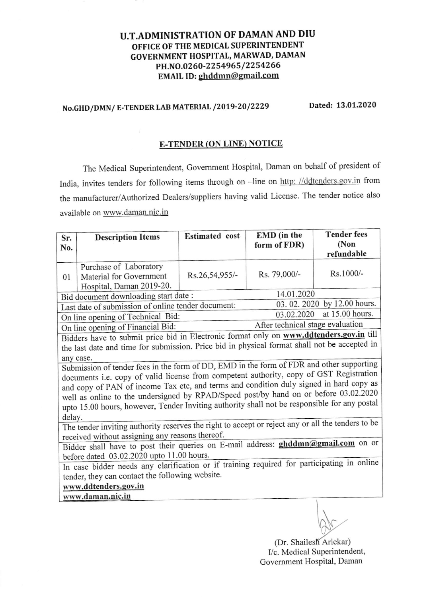### U.T.ADMINISTRATION OF DAMAN AND DIU OFFICE OF THE MEDICAL SUPERINTENDENT GOVERNMENT HOSPITAL, MARWAD, DAMAN PH.NO.0260-2254965/2254266 EMAIL ID: ghddmn@gmail.com

# No.GHD/DMN/ E-TENDER LAB MATERIAL /2019-20/2229 Dated: 13.01.2020

#### E-TENDER(ON LINE) NOTICE

The Medical Superintendent, Govemment Hospital, Daman on behalf of president of India, invites tenders for following items through on -line on http: //ddtenders.gov.in from the manufacturer/Authorized Dealers/suppliers having valid License. The tender notice also available on www .daman.nic.in

| Sr.                                                                                               | <b>Description Items</b> | <b>Estimated</b> cost | EMD (in the  | <b>Tender fees</b> |  |  |
|---------------------------------------------------------------------------------------------------|--------------------------|-----------------------|--------------|--------------------|--|--|
| No.                                                                                               |                          |                       | form of FDR) | (Non               |  |  |
|                                                                                                   |                          |                       |              | refundable         |  |  |
|                                                                                                   | Purchase of Laboratory   |                       |              |                    |  |  |
| 01                                                                                                | Material for Government  | Rs.26,54,955/-        | Rs. 79,000/- | Rs.1000/-          |  |  |
|                                                                                                   | Hospital, Daman 2019-20. |                       |              |                    |  |  |
| 14.01.2020<br>Bid document downloading start date:                                                |                          |                       |              |                    |  |  |
| 03.02.2020 by 12.00 hours.<br>Last date of submission of online tender document:                  |                          |                       |              |                    |  |  |
| at 15.00 hours.<br>03.02.2020<br>On line opening of Technical Bid:                                |                          |                       |              |                    |  |  |
| After technical stage evaluation<br>On line opening of Financial Bid:                             |                          |                       |              |                    |  |  |
| Bidders have to submit price bid in Electronic format only on www.ddtenders.gov.in till           |                          |                       |              |                    |  |  |
| the last date and time for submission. Price bid in physical format shall not be accepted in      |                          |                       |              |                    |  |  |
| any case.                                                                                         |                          |                       |              |                    |  |  |
| Submission of tender fees in the form of DD, EMD in the form of FDR and other supporting          |                          |                       |              |                    |  |  |
| documents i.e. copy of valid license from competent authority, copy of GST Registration           |                          |                       |              |                    |  |  |
| and copy of PAN of income Tax etc, and terms and condition duly signed in hard copy as            |                          |                       |              |                    |  |  |
| well as online to the undersigned by RPAD/Speed post/by hand on or before 03.02.2020              |                          |                       |              |                    |  |  |
| upto 15.00 hours, however, Tender Inviting authority shall not be responsible for any postal      |                          |                       |              |                    |  |  |
| delay.                                                                                            |                          |                       |              |                    |  |  |
| The tender inviting authority reserves the right to accept or reject any or all the tenders to be |                          |                       |              |                    |  |  |
| received without assigning any reasons thereof.                                                   |                          |                       |              |                    |  |  |
| Bidder shall have to post their queries on E-mail address: ghddmn@gmail.com on or                 |                          |                       |              |                    |  |  |
| before dated 03.02.2020 upto 11.00 hours.                                                         |                          |                       |              |                    |  |  |
| In case bidder needs any clarification or if training required for participating in online        |                          |                       |              |                    |  |  |
| tender, they can contact the following website.                                                   |                          |                       |              |                    |  |  |
| www.ddtenders.gov.in                                                                              |                          |                       |              |                    |  |  |
|                                                                                                   | www.daman.nic.in         |                       |              |                    |  |  |
|                                                                                                   |                          |                       |              |                    |  |  |
|                                                                                                   |                          |                       |              |                    |  |  |

(Dr. Shailesh Arlekar) I/c. Medical Superintendent, Govemment Hospital, Daman